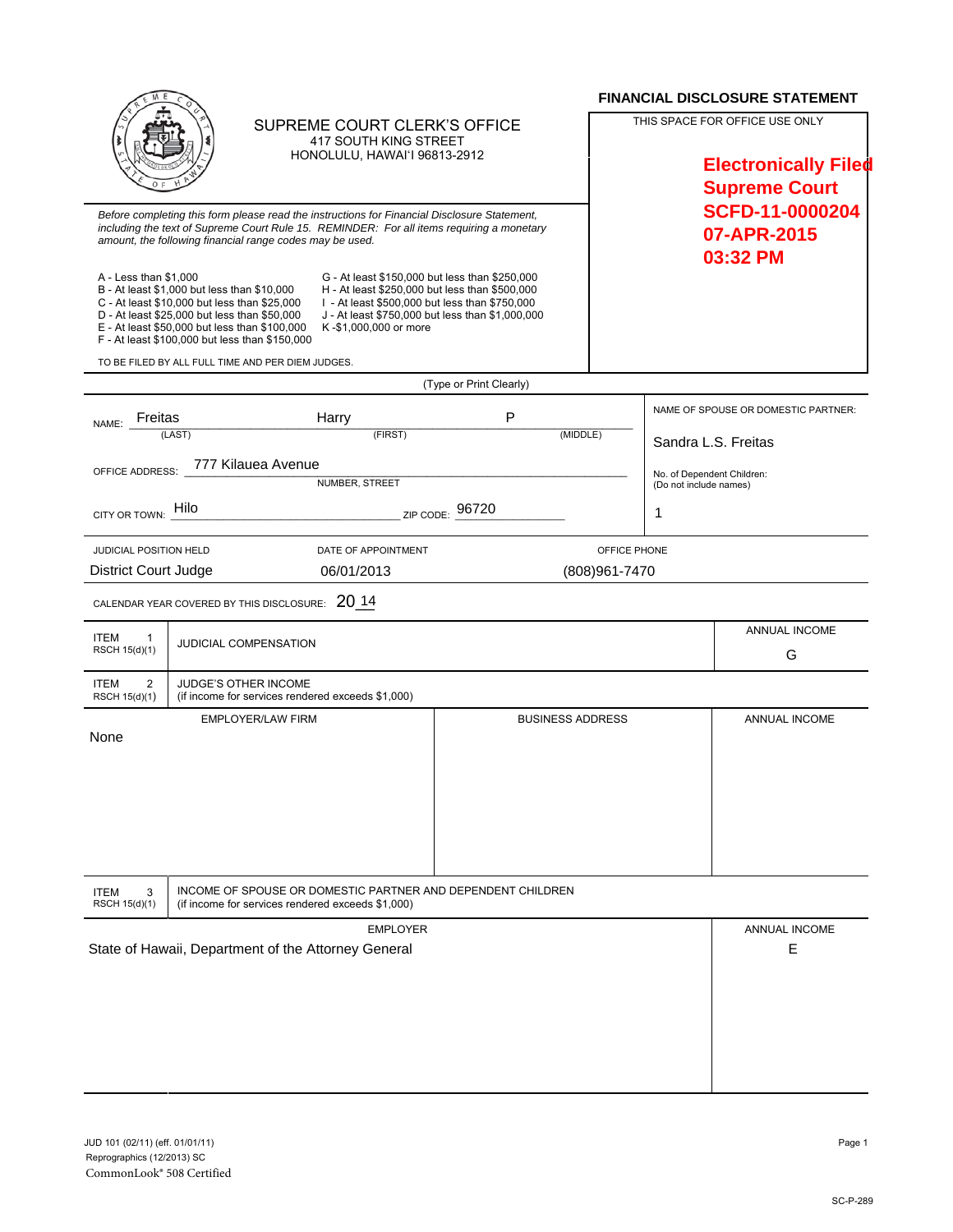|                                                                                                                                                                                                                                                       |                                                                                                                                                                                                                                                |                                                                                                                                                                                                                                 |                                                             |                                                                                       |                                                      | <b>FINANCIAL DISCLOSURE STATEMENT</b>      |
|-------------------------------------------------------------------------------------------------------------------------------------------------------------------------------------------------------------------------------------------------------|------------------------------------------------------------------------------------------------------------------------------------------------------------------------------------------------------------------------------------------------|---------------------------------------------------------------------------------------------------------------------------------------------------------------------------------------------------------------------------------|-------------------------------------------------------------|---------------------------------------------------------------------------------------|------------------------------------------------------|--------------------------------------------|
| SUPREME COURT CLERK'S OFFICE<br><b>417 SOUTH KING STREET</b><br>HONOLULU, HAWAI'I 96813-2912                                                                                                                                                          |                                                                                                                                                                                                                                                |                                                                                                                                                                                                                                 |                                                             | THIS SPACE FOR OFFICE USE ONLY<br><b>Electronically Filed</b><br><b>Supreme Court</b> |                                                      |                                            |
| Before completing this form please read the instructions for Financial Disclosure Statement,<br>including the text of Supreme Court Rule 15. REMINDER: For all items requiring a monetary<br>amount, the following financial range codes may be used. |                                                                                                                                                                                                                                                |                                                                                                                                                                                                                                 |                                                             |                                                                                       |                                                      | SCFD-11-0000204<br>07-APR-2015<br>03:32 PM |
| A - Less than \$1,000                                                                                                                                                                                                                                 | B - At least \$1,000 but less than \$10,000<br>C - At least \$10,000 but less than \$25,000<br>D - At least \$25,000 but less than \$50,000<br>E - At least \$50,000 but less than \$100,000<br>F - At least \$100,000 but less than \$150,000 | G - At least \$150,000 but less than \$250,000<br>H - At least \$250,000 but less than \$500,000<br>I - At least \$500,000 but less than \$750,000<br>J - At least \$750,000 but less than \$1,000,000<br>K-\$1,000,000 or more |                                                             |                                                                                       |                                                      |                                            |
|                                                                                                                                                                                                                                                       | TO BE FILED BY ALL FULL TIME AND PER DIEM JUDGES.                                                                                                                                                                                              |                                                                                                                                                                                                                                 |                                                             |                                                                                       |                                                      |                                            |
|                                                                                                                                                                                                                                                       |                                                                                                                                                                                                                                                |                                                                                                                                                                                                                                 | (Type or Print Clearly)                                     |                                                                                       |                                                      |                                            |
| Freitas<br>NAME:                                                                                                                                                                                                                                      |                                                                                                                                                                                                                                                | Harry                                                                                                                                                                                                                           | P                                                           |                                                                                       |                                                      | NAME OF SPOUSE OR DOMESTIC PARTNER:        |
|                                                                                                                                                                                                                                                       | (LAST)                                                                                                                                                                                                                                         | (FIRST)                                                                                                                                                                                                                         | (MIDDLE)                                                    | Sandra L.S. Freitas                                                                   |                                                      |                                            |
| OFFICE ADDRESS:                                                                                                                                                                                                                                       | 777 Kilauea Avenue                                                                                                                                                                                                                             |                                                                                                                                                                                                                                 |                                                             |                                                                                       |                                                      |                                            |
|                                                                                                                                                                                                                                                       |                                                                                                                                                                                                                                                | <b>NUMBER, STREET</b>                                                                                                                                                                                                           |                                                             |                                                                                       | No. of Dependent Children:<br>(Do not include names) |                                            |
| CITY OR TOWN:                                                                                                                                                                                                                                         | Hilo                                                                                                                                                                                                                                           | ZIP CODE:                                                                                                                                                                                                                       | 96720                                                       |                                                                                       | 1                                                    |                                            |
| JUDICIAL POSITION HELD                                                                                                                                                                                                                                |                                                                                                                                                                                                                                                | DATE OF APPOINTMENT                                                                                                                                                                                                             |                                                             | OFFICE PHONE                                                                          |                                                      |                                            |
| <b>District Court Judge</b><br>06/01/2013<br>(808)961-7470                                                                                                                                                                                            |                                                                                                                                                                                                                                                |                                                                                                                                                                                                                                 |                                                             |                                                                                       |                                                      |                                            |
|                                                                                                                                                                                                                                                       | CALENDAR YEAR COVERED BY THIS DISCLOSURE: 20 14                                                                                                                                                                                                |                                                                                                                                                                                                                                 |                                                             |                                                                                       |                                                      |                                            |
| <b>ITEM</b><br>1<br>RSCH 15(d)(1)                                                                                                                                                                                                                     | JUDICIAL COMPENSATION                                                                                                                                                                                                                          |                                                                                                                                                                                                                                 |                                                             |                                                                                       |                                                      | ANNUAL INCOME<br>G                         |
| $\overline{2}$<br><b>ITEM</b><br>RSCH 15(d)(1)                                                                                                                                                                                                        | JUDGE'S OTHER INCOME<br>(if income for services rendered exceeds \$1,000)                                                                                                                                                                      |                                                                                                                                                                                                                                 |                                                             |                                                                                       |                                                      |                                            |
| None                                                                                                                                                                                                                                                  | <b>EMPLOYER/LAW FIRM</b>                                                                                                                                                                                                                       |                                                                                                                                                                                                                                 | <b>BUSINESS ADDRESS</b>                                     |                                                                                       |                                                      | ANNUAL INCOME                              |
| <b>ITEM</b><br>3<br>RSCH 15(d)(1)                                                                                                                                                                                                                     | (if income for services rendered exceeds \$1,000)                                                                                                                                                                                              |                                                                                                                                                                                                                                 | INCOME OF SPOUSE OR DOMESTIC PARTNER AND DEPENDENT CHILDREN |                                                                                       |                                                      |                                            |
| <b>EMPLOYER</b><br>State of Hawaii, Department of the Attorney General                                                                                                                                                                                |                                                                                                                                                                                                                                                |                                                                                                                                                                                                                                 |                                                             |                                                                                       | ANNUAL INCOME<br>Е                                   |                                            |
|                                                                                                                                                                                                                                                       |                                                                                                                                                                                                                                                |                                                                                                                                                                                                                                 |                                                             |                                                                                       |                                                      |                                            |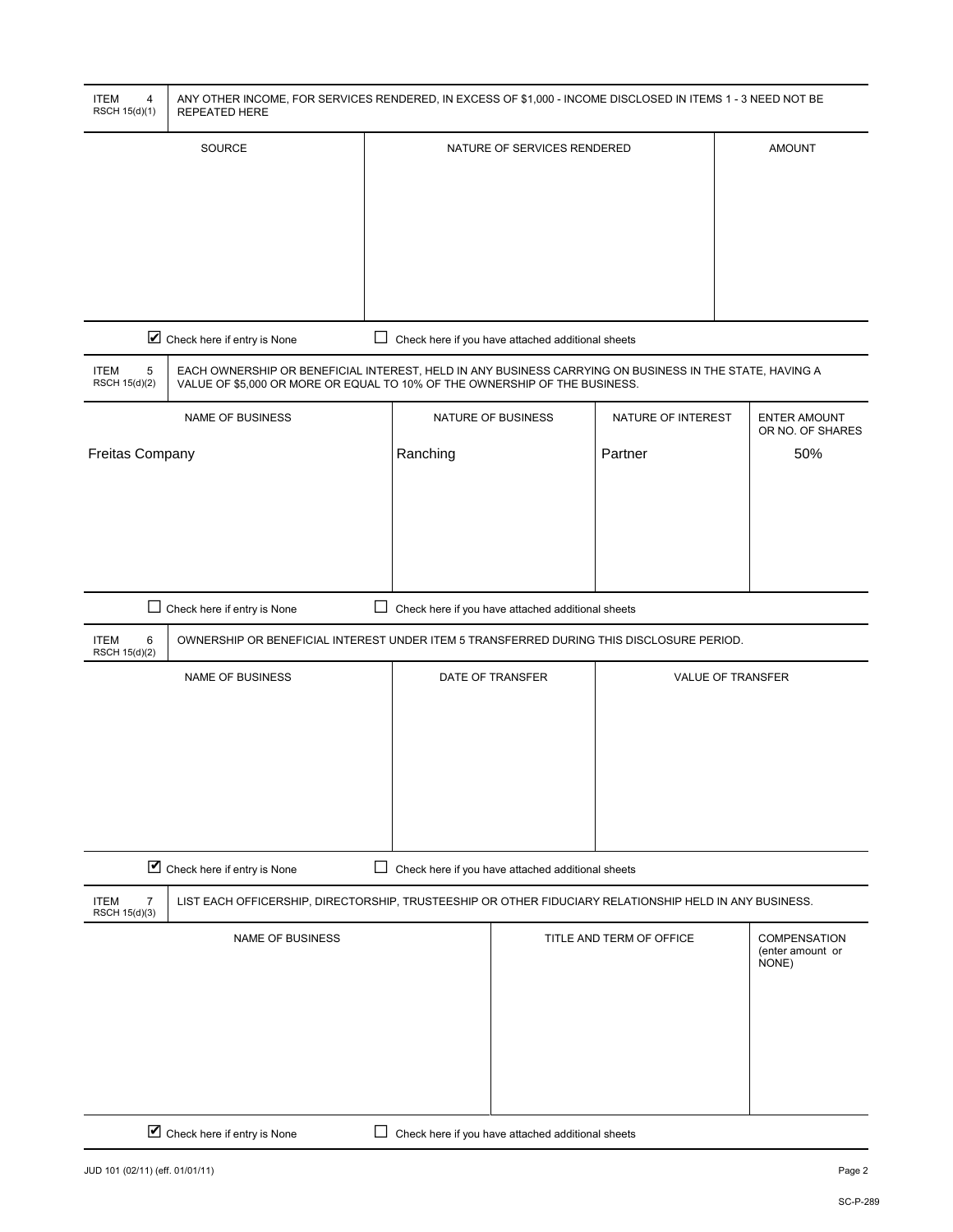| <b>ITEM</b><br>4<br>RSCH 15(d)(1)              | ANY OTHER INCOME, FOR SERVICES RENDERED, IN EXCESS OF \$1,000 - INCOME DISCLOSED IN ITEMS 1 - 3 NEED NOT BE<br><b>REPEATED HERE</b>                                                   |          |                                                   |                          |                                                  |  |
|------------------------------------------------|---------------------------------------------------------------------------------------------------------------------------------------------------------------------------------------|----------|---------------------------------------------------|--------------------------|--------------------------------------------------|--|
| SOURCE                                         |                                                                                                                                                                                       |          | NATURE OF SERVICES RENDERED                       |                          | <b>AMOUNT</b>                                    |  |
|                                                |                                                                                                                                                                                       |          |                                                   |                          |                                                  |  |
|                                                |                                                                                                                                                                                       |          |                                                   |                          |                                                  |  |
|                                                |                                                                                                                                                                                       |          |                                                   |                          |                                                  |  |
|                                                |                                                                                                                                                                                       |          |                                                   |                          |                                                  |  |
|                                                |                                                                                                                                                                                       |          |                                                   |                          |                                                  |  |
|                                                | Check here if entry is None                                                                                                                                                           |          | Check here if you have attached additional sheets |                          |                                                  |  |
| 5<br><b>ITEM</b><br>RSCH 15(d)(2)              | EACH OWNERSHIP OR BENEFICIAL INTEREST, HELD IN ANY BUSINESS CARRYING ON BUSINESS IN THE STATE, HAVING A<br>VALUE OF \$5,000 OR MORE OR EQUAL TO 10% OF THE OWNERSHIP OF THE BUSINESS. |          |                                                   |                          |                                                  |  |
|                                                | <b>NAME OF BUSINESS</b>                                                                                                                                                               |          | NATURE OF BUSINESS                                | NATURE OF INTEREST       | <b>ENTER AMOUNT</b><br>OR NO. OF SHARES          |  |
| Freitas Company                                |                                                                                                                                                                                       | Ranching |                                                   | Partner                  | 50%                                              |  |
|                                                |                                                                                                                                                                                       |          |                                                   |                          |                                                  |  |
|                                                |                                                                                                                                                                                       |          |                                                   |                          |                                                  |  |
|                                                |                                                                                                                                                                                       |          |                                                   |                          |                                                  |  |
|                                                |                                                                                                                                                                                       |          |                                                   |                          |                                                  |  |
| <b>ITEM</b><br>6                               | □ Check here if entry is None<br>Check here if you have attached additional sheets<br>OWNERSHIP OR BENEFICIAL INTEREST UNDER ITEM 5 TRANSFERRED DURING THIS DISCLOSURE PERIOD.        |          |                                                   |                          |                                                  |  |
| RSCH 15(d)(2)                                  |                                                                                                                                                                                       |          |                                                   |                          |                                                  |  |
|                                                | <b>NAME OF BUSINESS</b>                                                                                                                                                               |          | DATE OF TRANSFER                                  |                          | <b>VALUE OF TRANSFER</b>                         |  |
|                                                |                                                                                                                                                                                       |          |                                                   |                          |                                                  |  |
|                                                |                                                                                                                                                                                       |          |                                                   |                          |                                                  |  |
|                                                |                                                                                                                                                                                       |          |                                                   |                          |                                                  |  |
|                                                |                                                                                                                                                                                       |          |                                                   |                          |                                                  |  |
|                                                | Check here if entry is None                                                                                                                                                           | ⊔        | Check here if you have attached additional sheets |                          |                                                  |  |
| <b>ITEM</b><br>$\overline{7}$<br>RSCH 15(d)(3) | LIST EACH OFFICERSHIP, DIRECTORSHIP, TRUSTEESHIP OR OTHER FIDUCIARY RELATIONSHIP HELD IN ANY BUSINESS.                                                                                |          |                                                   |                          |                                                  |  |
|                                                | <b>NAME OF BUSINESS</b>                                                                                                                                                               |          |                                                   | TITLE AND TERM OF OFFICE | <b>COMPENSATION</b><br>(enter amount or<br>NONE) |  |
|                                                |                                                                                                                                                                                       |          |                                                   |                          |                                                  |  |
|                                                |                                                                                                                                                                                       |          |                                                   |                          |                                                  |  |
|                                                |                                                                                                                                                                                       |          |                                                   |                          |                                                  |  |
|                                                |                                                                                                                                                                                       |          |                                                   |                          |                                                  |  |
|                                                | Check here if entry is None<br>Check here if you have attached additional sheets                                                                                                      |          |                                                   |                          |                                                  |  |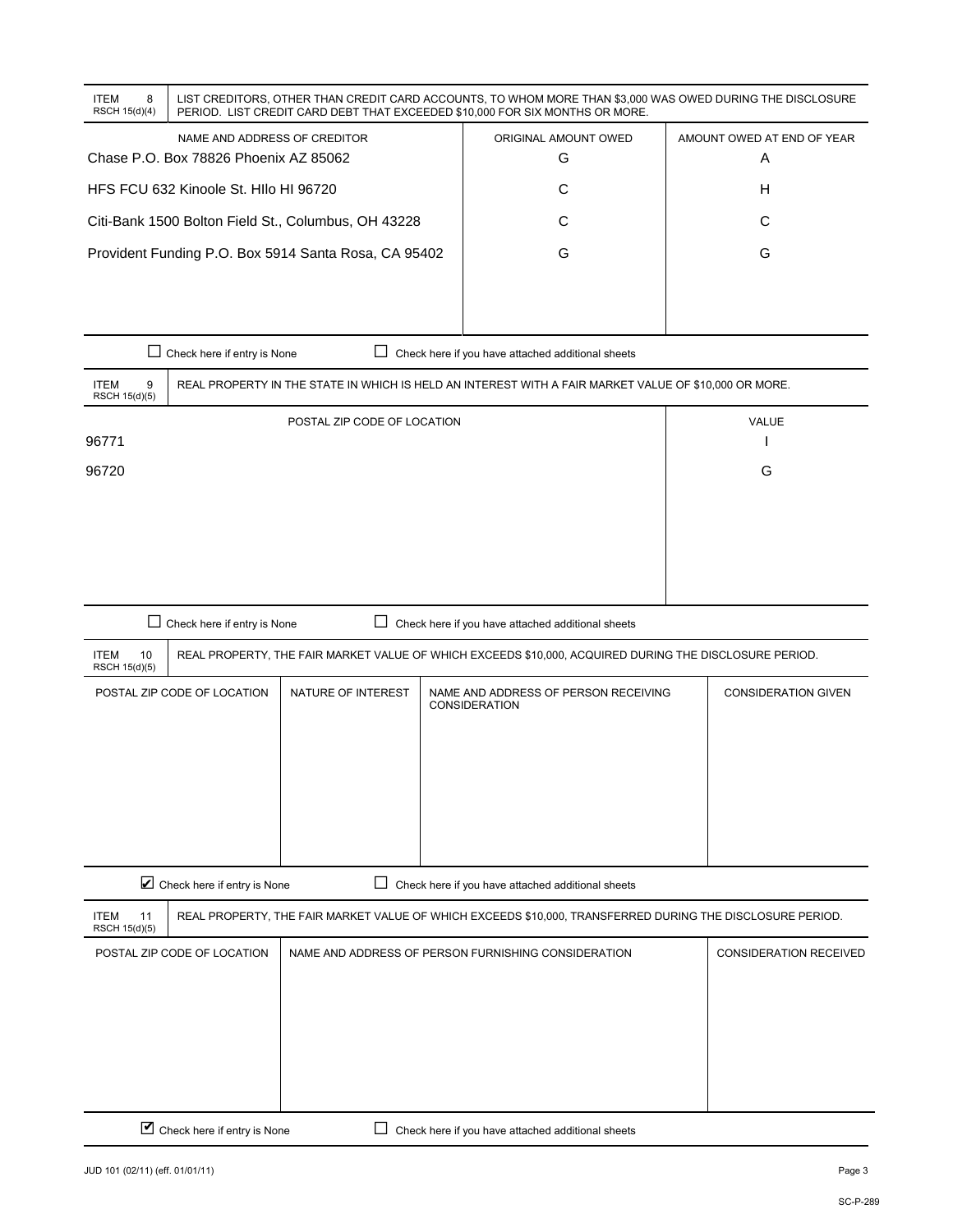| 8<br><b>ITEM</b><br>RSCH 15(d)(4)                   | LIST CREDITORS, OTHER THAN CREDIT CARD ACCOUNTS, TO WHOM MORE THAN \$3,000 WAS OWED DURING THE DISCLOSURE<br>PERIOD. LIST CREDIT CARD DEBT THAT EXCEEDED \$10,000 FOR SIX MONTHS OR MORE. |                           |                                 |  |  |  |
|-----------------------------------------------------|-------------------------------------------------------------------------------------------------------------------------------------------------------------------------------------------|---------------------------|---------------------------------|--|--|--|
|                                                     | NAME AND ADDRESS OF CREDITOR<br>Chase P.O. Box 78826 Phoenix AZ 85062                                                                                                                     | ORIGINAL AMOUNT OWED<br>G | AMOUNT OWED AT END OF YEAR<br>Α |  |  |  |
| HFS FCU 632 Kinoole St. HIIo HI 96720               |                                                                                                                                                                                           |                           | н                               |  |  |  |
| Citi-Bank 1500 Bolton Field St., Columbus, OH 43228 |                                                                                                                                                                                           |                           | С                               |  |  |  |
|                                                     | Provident Funding P.O. Box 5914 Santa Rosa, CA 95402                                                                                                                                      | G                         | G                               |  |  |  |

|                                   | Chase P.O. Box 78826 Phoenix AZ 85062                                                                 | G                                                 | Α |  |
|-----------------------------------|-------------------------------------------------------------------------------------------------------|---------------------------------------------------|---|--|
|                                   | HFS FCU 632 Kinoole St. HIIo HI 96720                                                                 | C                                                 | Н |  |
|                                   | Citi-Bank 1500 Bolton Field St., Columbus, OH 43228                                                   | С                                                 | C |  |
|                                   | Provident Funding P.O. Box 5914 Santa Rosa, CA 95402                                                  | G                                                 | G |  |
|                                   |                                                                                                       |                                                   |   |  |
|                                   |                                                                                                       |                                                   |   |  |
| $\mathsf{L}$                      | Check here if entry is None                                                                           | Check here if you have attached additional sheets |   |  |
| <b>ITEM</b><br>9<br>RSCH 15(d)(5) | REAL PROPERTY IN THE STATE IN WHICH IS HELD AN INTEREST WITH A FAIR MARKET VALUE OF \$10,000 OR MORE. |                                                   |   |  |
|                                   | POSTAL ZIP CODE OF LOCATION                                                                           | <b>VALUE</b>                                      |   |  |
| 96771                             |                                                                                                       |                                                   |   |  |
| 96720                             |                                                                                                       |                                                   | G |  |
|                                   |                                                                                                       |                                                   |   |  |
|                                   |                                                                                                       |                                                   |   |  |
|                                   |                                                                                                       |                                                   |   |  |
|                                   |                                                                                                       |                                                   |   |  |

| Check here if entry is None<br>Check here if you have attached additional sheets                                    |                                                                                                           |                    |                                                       |                            |  |  |
|---------------------------------------------------------------------------------------------------------------------|-----------------------------------------------------------------------------------------------------------|--------------------|-------------------------------------------------------|----------------------------|--|--|
| <b>ITEM</b><br>10<br>RSCH 15(d)(5)                                                                                  | REAL PROPERTY, THE FAIR MARKET VALUE OF WHICH EXCEEDS \$10,000, ACQUIRED DURING THE DISCLOSURE PERIOD.    |                    |                                                       |                            |  |  |
|                                                                                                                     | POSTAL ZIP CODE OF LOCATION                                                                               | NATURE OF INTEREST | NAME AND ADDRESS OF PERSON RECEIVING<br>CONSIDERATION | <b>CONSIDERATION GIVEN</b> |  |  |
|                                                                                                                     | Check here if entry is None                                                                               |                    | Check here if you have attached additional sheets     |                            |  |  |
| <b>ITEM</b><br>11<br>RSCH 15(d)(5)                                                                                  | REAL PROPERTY, THE FAIR MARKET VALUE OF WHICH EXCEEDS \$10,000, TRANSFERRED DURING THE DISCLOSURE PERIOD. |                    |                                                       |                            |  |  |
| POSTAL ZIP CODE OF LOCATION<br>NAME AND ADDRESS OF PERSON FURNISHING CONSIDERATION<br><b>CONSIDERATION RECEIVED</b> |                                                                                                           |                    |                                                       |                            |  |  |
| ☑<br>Check here if entry is None<br>Check here if you have attached additional sheets                               |                                                                                                           |                    |                                                       |                            |  |  |